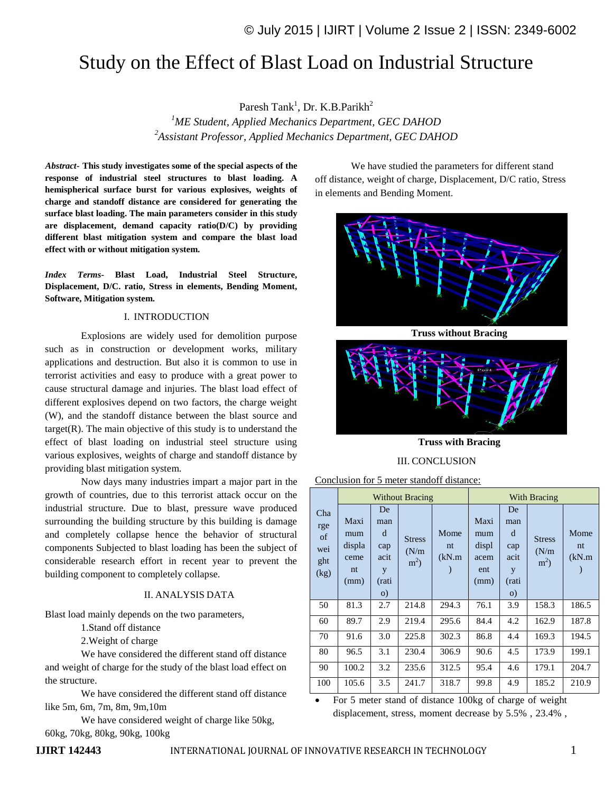# Study on the Effect of Blast Load on Industrial Structure

Paresh Tank<sup>1</sup>, Dr. K.B.Parikh<sup>2</sup> *<sup>1</sup>ME Student, Applied Mechanics Department, GEC DAHOD <sup>2</sup>Assistant Professor, Applied Mechanics Department, GEC DAHOD*

*Abstract***- This study investigates some of the special aspects of the response of industrial steel structures to blast loading. A hemispherical surface burst for various explosives, weights of charge and standoff distance are considered for generating the surface blast loading. The main parameters consider in this study are displacement, demand capacity ratio(D/C) by providing different blast mitigation system and compare the blast load effect with or without mitigation system.**

*Index Terms-* **Blast Load, Industrial Steel Structure, Displacement, D/C. ratio, Stress in elements, Bending Moment, Software, Mitigation system.**

#### I. INTRODUCTION

Explosions are widely used for demolition purpose such as in construction or development works, military applications and destruction. But also it is common to use in terrorist activities and easy to produce with a great power to cause structural damage and injuries. The blast load effect of different explosives depend on two factors, the charge weight (W), and the standoff distance between the blast source and  $target(R)$ . The main objective of this study is to understand the effect of blast loading on industrial steel structure using various explosives, weights of charge and standoff distance by providing blast mitigation system.

Now days many industries impart a major part in the growth of countries, due to this terrorist attack occur on the industrial structure. Due to blast, pressure wave produced surrounding the building structure by this building is damage and completely collapse hence the behavior of structural components Subjected to blast loading has been the subject of considerable research effort in recent year to prevent the building component to completely collapse.

### II. ANALYSIS DATA

Blast load mainly depends on the two parameters,

- 1.Stand off distance
- 2.Weight of charge

We have considered the different stand off distance and weight of charge for the study of the blast load effect on the structure.

We have considered the different stand off distance like 5m, 6m, 7m, 8m, 9m,10m

We have considered weight of charge like 50kg, 60kg, 70kg, 80kg, 90kg, 100kg

We have studied the parameters for different stand off distance, weight of charge, Displacement, D/C ratio, Stress in elements and Bending Moment.



**Truss without Bracing**



**Truss with Bracing**

III. CONCLUSION

Conclusion for 5 meter standoff distance:

| Cha<br>rge<br>of<br>wei<br>ght<br>(kg) |                                             |                                                          | <b>Without Bracing</b>                   |                      | With Bracing                                |                                                         |                                   |                      |  |
|----------------------------------------|---------------------------------------------|----------------------------------------------------------|------------------------------------------|----------------------|---------------------------------------------|---------------------------------------------------------|-----------------------------------|----------------------|--|
|                                        | Maxi<br>mum<br>displa<br>ceme<br>nt<br>(mm) | De<br>man<br>d<br>cap<br>acit<br>y<br>(rati<br>$\circ$ ) | <b>Stress</b><br>(N/m)<br>m <sup>2</sup> | Mome<br>nt<br>(kN.m) | Maxi<br>mum<br>displ<br>acem<br>ent<br>(mm) | De<br>man<br>d<br>cap<br>acit<br>y<br>(rati<br>$\Omega$ | <b>Stress</b><br>(N/m)<br>$m^2$ ) | Mome<br>nt<br>(kN.m) |  |
| 50                                     | 81.3                                        | 2.7                                                      | 214.8                                    | 294.3                | 76.1                                        | 3.9                                                     | 158.3                             | 186.5                |  |
| 60                                     | 89.7                                        | 2.9                                                      | 219.4                                    | 295.6                | 84.4                                        | 4.2                                                     | 162.9                             | 187.8                |  |
| 70                                     | 91.6                                        | 3.0                                                      | 225.8                                    | 302.3                | 86.8                                        | 4.4                                                     | 169.3                             | 194.5                |  |
| 80                                     | 96.5                                        | 3.1                                                      | 230.4                                    | 306.9                | 90.6                                        | 4.5                                                     | 173.9                             | 199.1                |  |
| 90                                     | 100.2                                       | 3.2                                                      | 235.6                                    | 312.5                | 95.4                                        | 4.6                                                     | 179.1                             | 204.7                |  |
| 100                                    | 105.6                                       | 3.5                                                      | 241.7                                    | 318.7                | 99.8                                        | 4.9                                                     | 185.2                             | 210.9                |  |

 For 5 meter stand of distance 100kg of charge of weight displacement, stress, moment decrease by 5.5% , 23.4% ,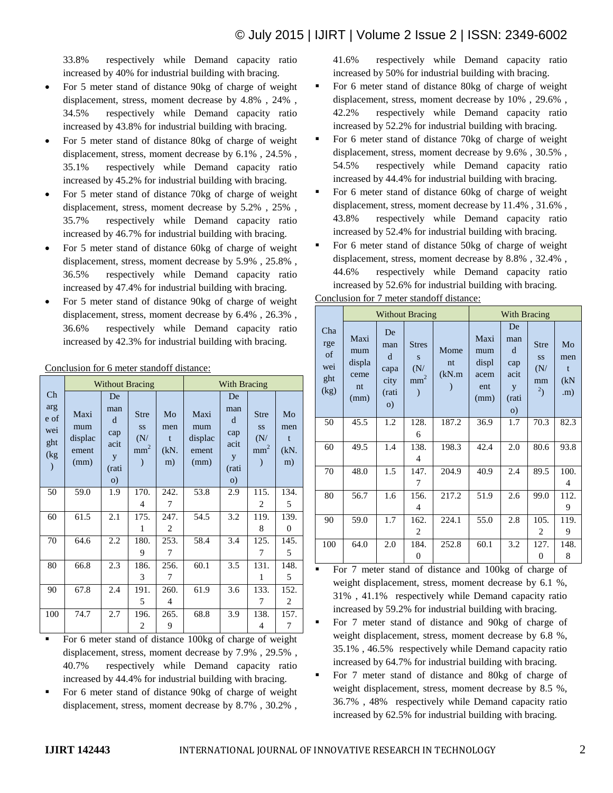# © July 2015 | IJIRT | Volume 2 Issue 2 | ISSN: 2349-6002

33.8% respectively while Demand capacity ratio increased by 40% for industrial building with bracing.

- For 5 meter stand of distance 90kg of charge of weight displacement, stress, moment decrease by 4.8% , 24% , 34.5% respectively while Demand capacity ratio increased by 43.8% for industrial building with bracing.
- For 5 meter stand of distance 80kg of charge of weight displacement, stress, moment decrease by 6.1% , 24.5% , 35.1% respectively while Demand capacity ratio increased by 45.2% for industrial building with bracing.
- For 5 meter stand of distance 70kg of charge of weight displacement, stress, moment decrease by 5.2% , 25% , 35.7% respectively while Demand capacity ratio increased by 46.7% for industrial building with bracing.
- For 5 meter stand of distance 60kg of charge of weight displacement, stress, moment decrease by 5.9% , 25.8% , 36.5% respectively while Demand capacity ratio increased by 47.4% for industrial building with bracing.
- For 5 meter stand of distance 90kg of charge of weight displacement, stress, moment decrease by 6.4% , 26.3% , 36.6% respectively while Demand capacity ratio increased by 42.3% for industrial building with bracing.

Conclusion for 6 meter standoff distance:

|                                        |                                         | <b>Without Bracing</b>                                   |                                             |                              | With Bracing                            |                                                          |                                                    |                                  |  |
|----------------------------------------|-----------------------------------------|----------------------------------------------------------|---------------------------------------------|------------------------------|-----------------------------------------|----------------------------------------------------------|----------------------------------------------------|----------------------------------|--|
| Ch<br>arg<br>e of<br>wei<br>ght<br>(kg | Maxi<br>mum<br>displac<br>ement<br>(mm) | De<br>man<br>d<br>cap<br>acit<br>y<br>(rati<br>$\circ$ ) | <b>Stre</b><br>SS<br>(N/<br>mm <sup>2</sup> | Mo<br>men<br>t<br>(kN.<br>m) | Maxi<br>mum<br>displac<br>ement<br>(mm) | De<br>man<br>d<br>cap<br>acit<br>y<br>(rati<br>$\circ$ ) | <b>Stre</b><br><b>SS</b><br>(N/<br>mm <sup>2</sup> | Mo<br>men<br>t<br>$(kN)$ .<br>m) |  |
| 50                                     | 59.0                                    | 1.9                                                      | 170.                                        | 242.                         | 53.8                                    | 2.9                                                      | 115.                                               | 134.                             |  |
|                                        |                                         |                                                          | 4                                           | 7                            |                                         |                                                          | 2                                                  | 5                                |  |
| 60                                     | 61.5                                    | 2.1                                                      | 175.                                        | 247.                         | 54.5                                    | 3.2                                                      | 119.                                               | 139.                             |  |
|                                        |                                         |                                                          | 1                                           | 2                            |                                         |                                                          | 8                                                  | $\mathbf{0}$                     |  |
| 70                                     | 64.6                                    | 2.2                                                      | 180.                                        | 253.                         | 58.4                                    | 3.4                                                      | 125.                                               | 145.                             |  |
|                                        |                                         |                                                          | 9                                           | 7                            |                                         |                                                          | 7                                                  | 5                                |  |
| 80                                     | 66.8                                    | 2.3                                                      | 186.                                        | 256.                         | 60.1                                    | 3.5                                                      | 131.                                               | 148.                             |  |
|                                        |                                         |                                                          | 3                                           | 7                            |                                         |                                                          | 1                                                  | 5                                |  |
| 90                                     | 67.8                                    | 2.4                                                      | 191.                                        | 260.                         | 61.9                                    | 3.6                                                      | 133.                                               | 152.                             |  |
|                                        |                                         |                                                          | 5                                           | 4                            |                                         |                                                          | 7                                                  | 2                                |  |
| 100                                    | 74.7                                    | 2.7                                                      | 196.                                        | 265.                         | 68.8                                    | 3.9                                                      | 138.                                               | 157.                             |  |
|                                        |                                         |                                                          | 2                                           | 9                            |                                         |                                                          | 4                                                  | 7                                |  |

- For 6 meter stand of distance 100kg of charge of weight displacement, stress, moment decrease by 7.9% , 29.5% , 40.7% respectively while Demand capacity ratio increased by 44.4% for industrial building with bracing.
- For 6 meter stand of distance 90kg of charge of weight displacement, stress, moment decrease by 8.7% , 30.2% ,

41.6% respectively while Demand capacity ratio increased by 50% for industrial building with bracing.

- For 6 meter stand of distance 80kg of charge of weight displacement, stress, moment decrease by 10% , 29.6% , 42.2% respectively while Demand capacity ratio increased by 52.2% for industrial building with bracing.
- For 6 meter stand of distance 70kg of charge of weight displacement, stress, moment decrease by 9.6% , 30.5% , 54.5% respectively while Demand capacity ratio increased by 44.4% for industrial building with bracing.
- For 6 meter stand of distance 60kg of charge of weight displacement, stress, moment decrease by 11.4% , 31.6% , 43.8% respectively while Demand capacity ratio increased by 52.4% for industrial building with bracing.
- For 6 meter stand of distance 50kg of charge of weight displacement, stress, moment decrease by 8.8% , 32.4% , 44.6% respectively while Demand capacity ratio increased by 52.6% for industrial building with bracing.

|                                        |                                             |                                                       | <b>Without Bracing</b>                      |                      | With Bracing                                |                                                                     |                                                 |                               |
|----------------------------------------|---------------------------------------------|-------------------------------------------------------|---------------------------------------------|----------------------|---------------------------------------------|---------------------------------------------------------------------|-------------------------------------------------|-------------------------------|
| Cha<br>rge<br>of<br>wei<br>ght<br>(kg) | Maxi<br>mum<br>displa<br>ceme<br>nt<br>(mm) | De<br>man<br>d<br>capa<br>city<br>(rati<br>$\sigma$ ) | <b>Stres</b><br>S<br>(N/<br>mm <sup>2</sup> | Mome<br>nt<br>(kN.m) | Maxi<br>mum<br>displ<br>acem<br>ent<br>(mm) | De<br>man<br><sub>d</sub><br>cap<br>acit<br>y<br>(rati<br>$\circ$ ) | <b>Stre</b><br><b>SS</b><br>(N/<br>mm<br>$^{2}$ | Mo<br>men<br>t<br>(kN)<br>(m) |
| 50                                     | 45.5                                        | 1.2                                                   | 128.<br>6                                   | 187.2                | 36.9                                        | 1.7                                                                 | 70.3                                            | 82.3                          |
| 60                                     | 49.5                                        | 1.4                                                   | 138.<br>4                                   | 198.3                | 42.4                                        | 2.0                                                                 | 80.6                                            | 93.8                          |
| 70                                     | 48.0                                        | 1.5                                                   | 147.<br>7                                   | 204.9                | 40.9                                        | 2.4                                                                 | 89.5                                            | 100.<br>4                     |
| 80                                     | 56.7                                        | 1.6                                                   | 156.<br>4                                   | 217.2                | 51.9                                        | 2.6                                                                 | 99.0                                            | 112.<br>9                     |
| 90                                     | 59.0                                        | 1.7                                                   | 162.<br>$\overline{c}$                      | 224.1                | 55.0                                        | 2.8                                                                 | 105.<br>$\overline{c}$                          | 119.<br>9                     |
| 100                                    | 64.0                                        | 2.0                                                   | 184.<br>0                                   | 252.8                | 60.1                                        | 3.2                                                                 | 127.<br>$\overline{0}$                          | 148.<br>8                     |

Conclusion for 7 meter standoff distance:

- For 7 meter stand of distance and 100kg of charge of weight displacement, stress, moment decrease by 6.1 %, 31% , 41.1% respectively while Demand capacity ratio increased by 59.2% for industrial building with bracing.
- For 7 meter stand of distance and 90kg of charge of weight displacement, stress, moment decrease by 6.8 %, 35.1% , 46.5% respectively while Demand capacity ratio increased by 64.7% for industrial building with bracing.
- For 7 meter stand of distance and 80kg of charge of weight displacement, stress, moment decrease by 8.5 %, 36.7% , 48% respectively while Demand capacity ratio increased by 62.5% for industrial building with bracing.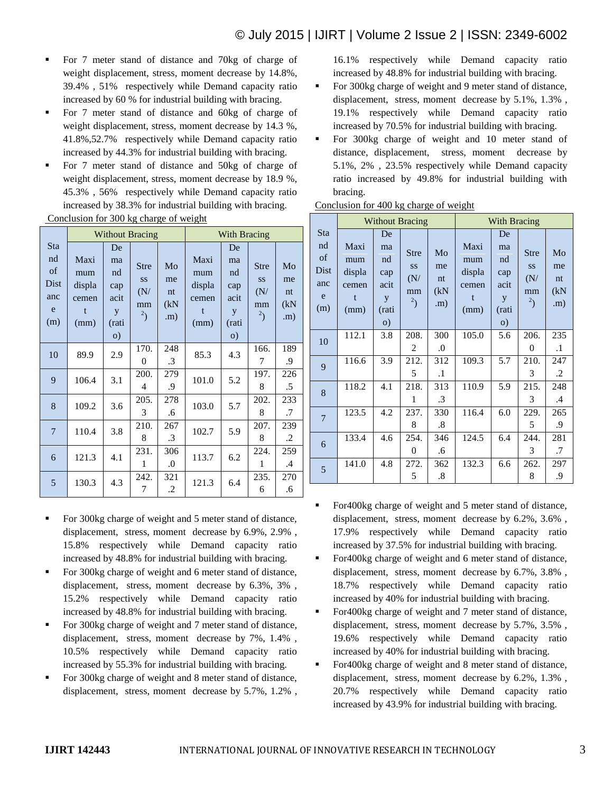- For 7 meter stand of distance and 70kg of charge of weight displacement, stress, moment decrease by 14.8%, 39.4% , 51% respectively while Demand capacity ratio increased by 60 % for industrial building with bracing.
- For 7 meter stand of distance and 60kg of charge of weight displacement, stress, moment decrease by 14.3 %, 41.8%,52.7% respectively while Demand capacity ratio increased by 44.3% for industrial building with bracing.
- For 7 meter stand of distance and 50kg of charge of weight displacement, stress, moment decrease by 18.9 %, 45.3% , 56% respectively while Demand capacity ratio increased by 38.3% for industrial building with bracing.

Conclusion for 300 kg charge of weight

|                                                   |                                                        | <b>Without Bracing</b>                                  | <b>With Bracing</b>                                         |                               |                                                        |                                                         |                                                       |                                        |
|---------------------------------------------------|--------------------------------------------------------|---------------------------------------------------------|-------------------------------------------------------------|-------------------------------|--------------------------------------------------------|---------------------------------------------------------|-------------------------------------------------------|----------------------------------------|
| <b>Sta</b><br>nd<br>of<br>Dist<br>anc<br>e<br>(m) | Maxi<br>mum<br>displa<br>cemen<br>$\mathbf{f}$<br>(mm) | De<br>ma<br>nd<br>cap<br>acit<br>y<br>(rati<br>$\Omega$ | <b>Stre</b><br>SS<br>(N/<br>mm<br>$\mathbf{1}$ <sup>2</sup> | Mo<br>me<br>nt<br>(kN)<br>(m) | Maxi<br>mum<br>displa<br>cemen<br>$\mathbf{f}$<br>(mm) | De<br>ma<br>nd<br>cap<br>acit<br>y<br>(rati<br>$\Omega$ | <b>Stre</b><br><b>SS</b><br>(N/<br>mm<br>$\mathbf{r}$ | Mo<br>me<br>nt<br>(kN)<br>$\mathbf{m}$ |
| 10                                                | 89.9                                                   | 2.9                                                     | 170.<br>$\theta$                                            | 248<br>$\cdot$ 3              | 85.3                                                   | 4.3                                                     | 166.<br>7                                             | 189<br>.9                              |
| 9                                                 | 106.4                                                  | 3.1                                                     | 200.<br>4                                                   | 279<br>.9                     | 101.0                                                  | 5.2                                                     | 197.<br>8                                             | 226<br>.5                              |
| 8                                                 | 109.2                                                  | 3.6                                                     | 205.<br>3                                                   | 278<br>.6                     | 103.0                                                  | 5.7                                                     | 202.<br>8                                             | 233<br>.7                              |
| $\overline{7}$                                    | 110.4                                                  | 3.8                                                     | 210.<br>8                                                   | 267<br>$\cdot$ 3              | 102.7                                                  | 5.9                                                     | 207.<br>8                                             | 239<br>.2                              |
| 6                                                 | 121.3                                                  | 4.1                                                     | 231.<br>1                                                   | 306<br>$\boldsymbol{0}$       | 113.7                                                  | 6.2                                                     | 224.<br>1                                             | 259<br>.4                              |
| 5                                                 | 130.3                                                  | 4.3                                                     | 242.<br>7                                                   | 321<br>.2                     | 121.3                                                  | 6.4                                                     | 235.<br>6                                             | 270<br>.6                              |

- For 300kg charge of weight and 5 meter stand of distance, displacement, stress, moment decrease by 6.9%, 2.9% , 15.8% respectively while Demand capacity ratio increased by 48.8% for industrial building with bracing.
- For 300kg charge of weight and 6 meter stand of distance, displacement, stress, moment decrease by 6.3%, 3% , 15.2% respectively while Demand capacity ratio increased by 48.8% for industrial building with bracing.
- For 300kg charge of weight and 7 meter stand of distance, displacement, stress, moment decrease by 7%, 1.4% , 10.5% respectively while Demand capacity ratio increased by 55.3% for industrial building with bracing.
- For 300kg charge of weight and 8 meter stand of distance, displacement, stress, moment decrease by 5.7%, 1.2% ,

16.1% respectively while Demand capacity ratio increased by 48.8% for industrial building with bracing.

- For 300kg charge of weight and 9 meter stand of distance, displacement, stress, moment decrease by 5.1%, 1.3% , 19.1% respectively while Demand capacity ratio increased by 70.5% for industrial building with bracing.
- For 300kg charge of weight and 10 meter stand of distance, displacement, stress, moment decrease by 5.1%, 2% , 23.5% respectively while Demand capacity ratio increased by 49.8% for industrial building with bracing.

|                                                   |                                                        |                                                          | <b>Without Bracing</b>                   |                               | <b>With Bracing</b>                         |                                                          |                                                         |                               |  |
|---------------------------------------------------|--------------------------------------------------------|----------------------------------------------------------|------------------------------------------|-------------------------------|---------------------------------------------|----------------------------------------------------------|---------------------------------------------------------|-------------------------------|--|
| <b>Sta</b><br>nd<br>of<br>Dist<br>anc<br>e<br>(m) | Maxi<br>mum<br>displa<br>cemen<br>$\mathbf{f}$<br>(mm) | De<br>ma<br>nd<br>cap<br>acit<br>y<br>(rati<br>$\circ$ ) | <b>Stre</b><br>SS<br>(N/<br>mm<br>$^{2}$ | Mo<br>me<br>nt<br>(kN)<br>(m) | Maxi<br>mum<br>displa<br>cemen<br>t<br>(mm) | De<br>ma<br>nd<br>cap<br>acit<br>y<br>(rati<br>$\circ$ ) | <b>Stre</b><br><b>SS</b><br>(N/<br>mm<br>$\mathbf{r}^2$ | Mo<br>me<br>nt<br>(kN)<br>.m) |  |
| 10                                                | 112.1                                                  | 3.8                                                      | 208.<br>2                                | 300<br>$\cdot$                | 105.0                                       | 5.6                                                      | 206.<br>$\theta$                                        | 235<br>$\cdot$ 1              |  |
| 9                                                 | 116.6                                                  | 3.9                                                      | 212.<br>5                                | 312<br>$\cdot$ 1              | 109.3                                       | 5.7                                                      | 210.<br>3                                               | 247<br>$\cdot$                |  |
| 8                                                 | 118.2                                                  | 4.1                                                      | 218.<br>1                                | 313<br>$\cdot$ 3              | 110.9                                       | 5.9                                                      | 215.<br>3                                               | 248<br>.4                     |  |
| $\overline{7}$                                    | 123.5                                                  | 4.2                                                      | 237.<br>8                                | 330<br>$\boldsymbol{.8}$      | 116.4                                       | 6.0                                                      | 229.<br>5                                               | 265<br>.9                     |  |
| 6                                                 | 133.4                                                  | 4.6                                                      | 254.<br>0                                | 346<br>.6                     | 124.5                                       | 6.4                                                      | 244.<br>3                                               | 281<br>.7                     |  |
| 5                                                 | 141.0                                                  | 4.8                                                      | 272.<br>5                                | 362<br>.8                     | 132.3                                       | 6.6                                                      | 262.<br>8                                               | 297<br>.9                     |  |

Conclusion for 400 kg charge of weight

- For400kg charge of weight and 5 meter stand of distance, displacement, stress, moment decrease by 6.2%, 3.6% , 17.9% respectively while Demand capacity ratio increased by 37.5% for industrial building with bracing.
- For400kg charge of weight and 6 meter stand of distance, displacement, stress, moment decrease by 6.7%, 3.8% , 18.7% respectively while Demand capacity ratio increased by 40% for industrial building with bracing.
- For400kg charge of weight and 7 meter stand of distance, displacement, stress, moment decrease by 5.7%, 3.5% , 19.6% respectively while Demand capacity ratio increased by 40% for industrial building with bracing.
- For400kg charge of weight and 8 meter stand of distance, displacement, stress, moment decrease by 6.2%, 1.3% , 20.7% respectively while Demand capacity ratio increased by 43.9% for industrial building with bracing.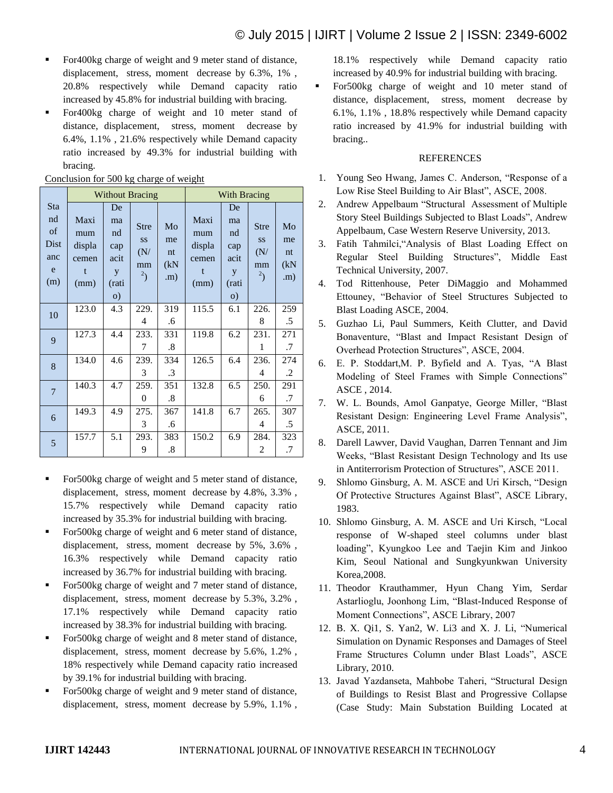- **For400kg charge of weight and 9 meter stand of distance,** displacement, stress, moment decrease by 6.3%, 1% , 20.8% respectively while Demand capacity ratio increased by 45.8% for industrial building with bracing.
- For400kg charge of weight and 10 meter stand of distance, displacement, stress, moment decrease by 6.4%, 1.1% , 21.6% respectively while Demand capacity ratio increased by 49.3% for industrial building with bracing.

|                                                   |                                                        |                                                          | <b>Without Bracing</b>                                |                                           | <b>With Bracing</b>                         |                                                          |                                                                     |                                        |  |
|---------------------------------------------------|--------------------------------------------------------|----------------------------------------------------------|-------------------------------------------------------|-------------------------------------------|---------------------------------------------|----------------------------------------------------------|---------------------------------------------------------------------|----------------------------------------|--|
| <b>Sta</b><br>nd<br>of<br>Dist<br>anc<br>e<br>(m) | Maxi<br>mum<br>displa<br>cemen<br>$\mathbf{f}$<br>(mm) | De<br>ma<br>nd<br>cap<br>acit<br>y<br>(rati<br>$\circ$ ) | <b>Stre</b><br><b>SS</b><br>(N/<br>mm<br>$\mathbf{r}$ | Mo<br>me<br>$n_{\text{t}}$<br>(kN)<br>(m) | Maxi<br>mum<br>displa<br>cemen<br>t<br>(mm) | De<br>ma<br>nd<br>cap<br>acit<br>y<br>(rati<br>$\circ$ ) | <b>Stre</b><br><b>SS</b><br>(N/<br>mm<br>$\mathbf{2}_{\mathcal{L}}$ | Mo<br>me<br>nt<br>(kN)<br>$\mathbf{m}$ |  |
| 10                                                | 123.0                                                  | 4.3                                                      | 229.<br>4                                             | 319<br>.6                                 | 115.5                                       | 6.1                                                      | 226.<br>8                                                           | 259<br>.5                              |  |
| 9                                                 | 127.3                                                  | 4.4                                                      | 233.<br>7                                             | 331<br>$\cdot$ 8                          | 119.8                                       | 6.2                                                      | 231.<br>1                                                           | 271<br>.7                              |  |
| 8                                                 | 134.0                                                  | 4.6                                                      | 239.<br>3                                             | 334<br>.3                                 | 126.5                                       | 6.4                                                      | 236.<br>4                                                           | 274<br>.2                              |  |
| $\overline{7}$                                    | 140.3                                                  | 4.7                                                      | 259.<br>$\overline{0}$                                | 351<br>$\cdot$ 8                          | 132.8                                       | 6.5                                                      | 250.<br>6                                                           | 291<br>.7                              |  |
| 6                                                 | 149.3                                                  | 4.9                                                      | 275.<br>3                                             | 367<br>.6                                 | 141.8                                       | 6.7                                                      | 265.<br>4                                                           | 307<br>$.5\,$                          |  |
| 5                                                 | 157.7                                                  | 5.1                                                      | 293.<br>9                                             | 383<br>.8                                 | 150.2                                       | 6.9                                                      | 284.<br>2                                                           | 323<br>.7                              |  |

### Conclusion for 500 kg charge of weight

- For500kg charge of weight and 5 meter stand of distance, displacement, stress, moment decrease by 4.8%, 3.3% , 15.7% respectively while Demand capacity ratio increased by 35.3% for industrial building with bracing.
- For 500kg charge of weight and 6 meter stand of distance, displacement, stress, moment decrease by 5%, 3.6% , 16.3% respectively while Demand capacity ratio increased by 36.7% for industrial building with bracing.
- For 500kg charge of weight and 7 meter stand of distance, displacement, stress, moment decrease by 5.3%, 3.2% , 17.1% respectively while Demand capacity ratio increased by 38.3% for industrial building with bracing.
- **For 500kg** charge of weight and 8 meter stand of distance, displacement, stress, moment decrease by 5.6%, 1.2% , 18% respectively while Demand capacity ratio increased by 39.1% for industrial building with bracing.
- For500kg charge of weight and 9 meter stand of distance, displacement, stress, moment decrease by 5.9%, 1.1% ,

18.1% respectively while Demand capacity ratio increased by 40.9% for industrial building with bracing.

 For500kg charge of weight and 10 meter stand of distance, displacement, stress, moment decrease by 6.1%, 1.1% , 18.8% respectively while Demand capacity ratio increased by 41.9% for industrial building with bracing..

## REFERENCES

- 1. Young Seo Hwang, James C. Anderson, "Response of a Low Rise Steel Building to Air Blast", ASCE, 2008.
- 2. Andrew Appelbaum "Structural Assessment of Multiple Story Steel Buildings Subjected to Blast Loads", Andrew Appelbaum, Case Western Reserve University, 2013.
- 3. Fatih Tahmilci,"Analysis of Blast Loading Effect on Regular Steel Building Structures", Middle East Technical University, 2007.
- 4. Tod Rittenhouse, Peter DiMaggio and Mohammed Ettouney, "Behavior of Steel Structures Subjected to Blast Loading ASCE, 2004.
- 5. Guzhao Li, Paul Summers, Keith Clutter, and David Bonaventure, "Blast and Impact Resistant Design of Overhead Protection Structures", ASCE, 2004.
- 6. E. P. Stoddart,M. P. Byfield and A. Tyas, "A Blast Modeling of Steel Frames with Simple Connections" ASCE , 2014.
- 7. W. L. Bounds, Amol Ganpatye, George Miller, "Blast Resistant Design: Engineering Level Frame Analysis", ASCE, 2011.
- 8. Darell Lawver, David Vaughan, Darren Tennant and Jim Weeks, "Blast Resistant Design Technology and Its use in Antiterrorism Protection of Structures", ASCE 2011.
- 9. Shlomo Ginsburg, A. M. ASCE and Uri Kirsch, "Design Of Protective Structures Against Blast", ASCE Library, 1983.
- 10. Shlomo Ginsburg, A. M. ASCE and Uri Kirsch, "Local response of W-shaped steel columns under blast loading", Kyungkoo Lee and Taejin Kim and Jinkoo Kim, Seoul National and Sungkyunkwan University Korea,2008.
- 11. Theodor Krauthammer, Hyun Chang Yim, Serdar Astarlioglu, Joonhong Lim, "Blast-Induced Response of Moment Connections", ASCE Library, 2007
- 12. B. X. Qi1, S. Yan2, W. Li3 and X. J. Li, "Numerical Simulation on Dynamic Responses and Damages of Steel Frame Structures Column under Blast Loads", ASCE Library, 2010.
- 13. Javad Yazdanseta, Mahbobe Taheri, "Structural Design of Buildings to Resist Blast and Progressive Collapse (Case Study: Main Substation Building Located at